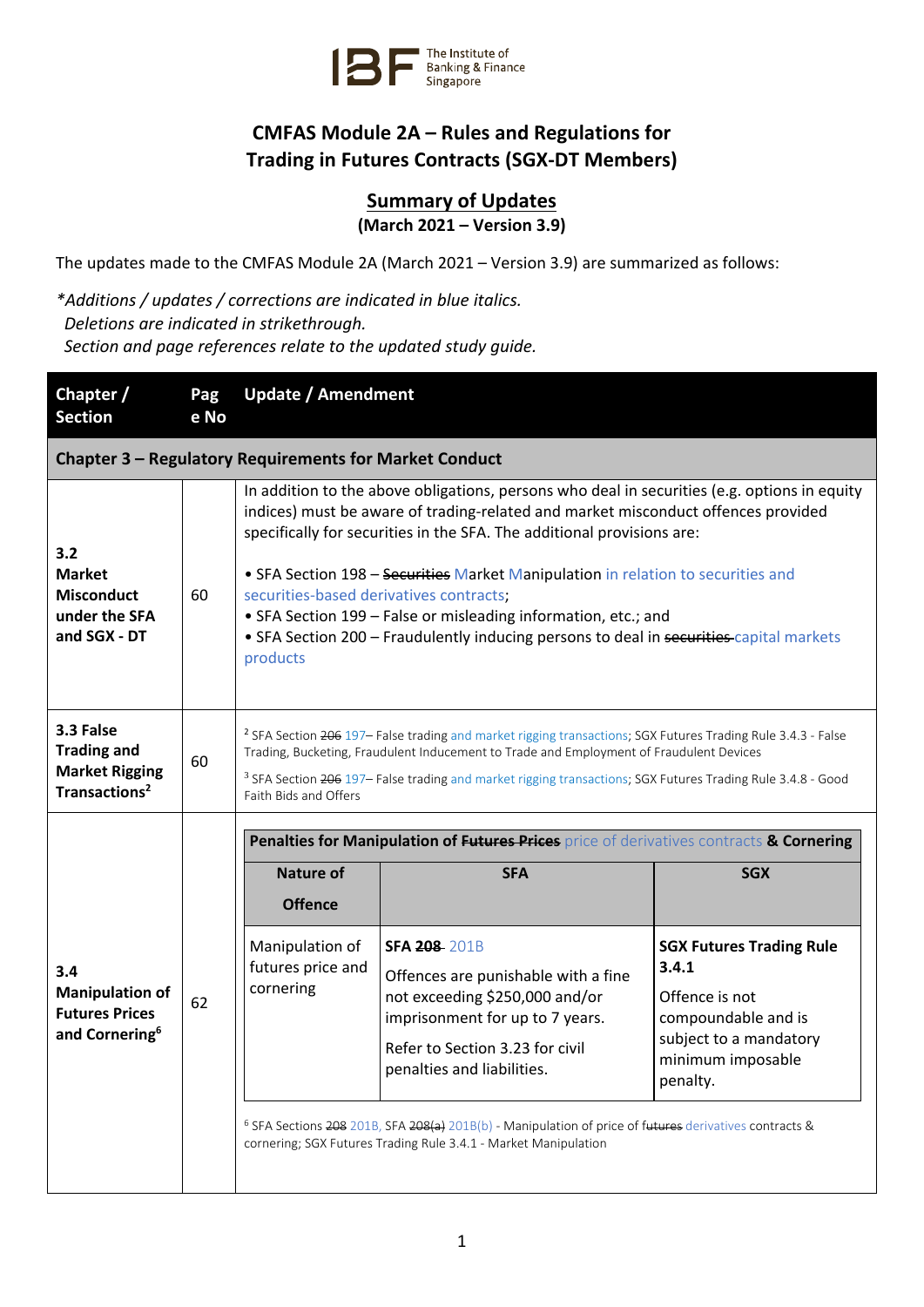

## **CMFAS Module 2A – Rules and Regulations for Trading in Futures Contracts (SGX-DT Members)**

## **Summary of Updates (March 2021 – Version 3.9)**

The updates made to the CMFAS Module 2A (March 2021 – Version 3.9) are summarized as follows:

*\*Additions / updates / corrections are indicated in blue italics. Deletions are indicated in strikethrough. Section and page references relate to the updated study guide.*

| Chapter /<br><b>Section</b>                                                           | Pag<br>e No | <b>Update / Amendment</b>                                                                                                                                                                                                                                                                                                                                                                                                                                                                                                                                           |                                                                                                                                                                                                                                                                                                                                                                                          |                                                                                                                                              |  |  |
|---------------------------------------------------------------------------------------|-------------|---------------------------------------------------------------------------------------------------------------------------------------------------------------------------------------------------------------------------------------------------------------------------------------------------------------------------------------------------------------------------------------------------------------------------------------------------------------------------------------------------------------------------------------------------------------------|------------------------------------------------------------------------------------------------------------------------------------------------------------------------------------------------------------------------------------------------------------------------------------------------------------------------------------------------------------------------------------------|----------------------------------------------------------------------------------------------------------------------------------------------|--|--|
| Chapter 3 - Regulatory Requirements for Market Conduct                                |             |                                                                                                                                                                                                                                                                                                                                                                                                                                                                                                                                                                     |                                                                                                                                                                                                                                                                                                                                                                                          |                                                                                                                                              |  |  |
| 3.2<br><b>Market</b><br><b>Misconduct</b><br>under the SFA<br>and SGX - DT            | 60          | In addition to the above obligations, persons who deal in securities (e.g. options in equity<br>indices) must be aware of trading-related and market misconduct offences provided<br>specifically for securities in the SFA. The additional provisions are:<br>• SFA Section 198 - Securities Market Manipulation in relation to securities and<br>securities-based derivatives contracts;<br>• SFA Section 199 - False or misleading information, etc.; and<br>• SFA Section 200 - Fraudulently inducing persons to deal in securities-capital markets<br>products |                                                                                                                                                                                                                                                                                                                                                                                          |                                                                                                                                              |  |  |
| 3.3 False<br><b>Trading and</b><br><b>Market Rigging</b><br>Transactions <sup>2</sup> | 60          | <sup>2</sup> SFA Section 206 197- False trading and market rigging transactions; SGX Futures Trading Rule 3.4.3 - False<br>Trading, Bucketing, Fraudulent Inducement to Trade and Employment of Fraudulent Devices<br><sup>3</sup> SFA Section 206 197- False trading and market rigging transactions; SGX Futures Trading Rule 3.4.8 - Good<br>Faith Bids and Offers                                                                                                                                                                                               |                                                                                                                                                                                                                                                                                                                                                                                          |                                                                                                                                              |  |  |
|                                                                                       | 62          | Penalties for Manipulation of Futures Prices price of derivatives contracts & Cornering                                                                                                                                                                                                                                                                                                                                                                                                                                                                             |                                                                                                                                                                                                                                                                                                                                                                                          |                                                                                                                                              |  |  |
|                                                                                       |             | <b>Nature of</b>                                                                                                                                                                                                                                                                                                                                                                                                                                                                                                                                                    | <b>SFA</b>                                                                                                                                                                                                                                                                                                                                                                               | <b>SGX</b>                                                                                                                                   |  |  |
|                                                                                       |             | <b>Offence</b>                                                                                                                                                                                                                                                                                                                                                                                                                                                                                                                                                      |                                                                                                                                                                                                                                                                                                                                                                                          |                                                                                                                                              |  |  |
| 3.4<br><b>Manipulation of</b><br><b>Futures Prices</b><br>and Cornering <sup>6</sup>  |             | Manipulation of<br>futures price and<br>cornering                                                                                                                                                                                                                                                                                                                                                                                                                                                                                                                   | <b>SFA 208-201B</b><br>Offences are punishable with a fine<br>not exceeding \$250,000 and/or<br>imprisonment for up to 7 years.<br>Refer to Section 3.23 for civil<br>penalties and liabilities.<br><sup>6</sup> SFA Sections 208 201B, SFA 208(a) 201B(b) - Manipulation of price of futures derivatives contracts &<br>cornering; SGX Futures Trading Rule 3.4.1 - Market Manipulation | <b>SGX Futures Trading Rule</b><br>3.4.1<br>Offence is not<br>compoundable and is<br>subject to a mandatory<br>minimum imposable<br>penalty. |  |  |
|                                                                                       |             |                                                                                                                                                                                                                                                                                                                                                                                                                                                                                                                                                                     |                                                                                                                                                                                                                                                                                                                                                                                          |                                                                                                                                              |  |  |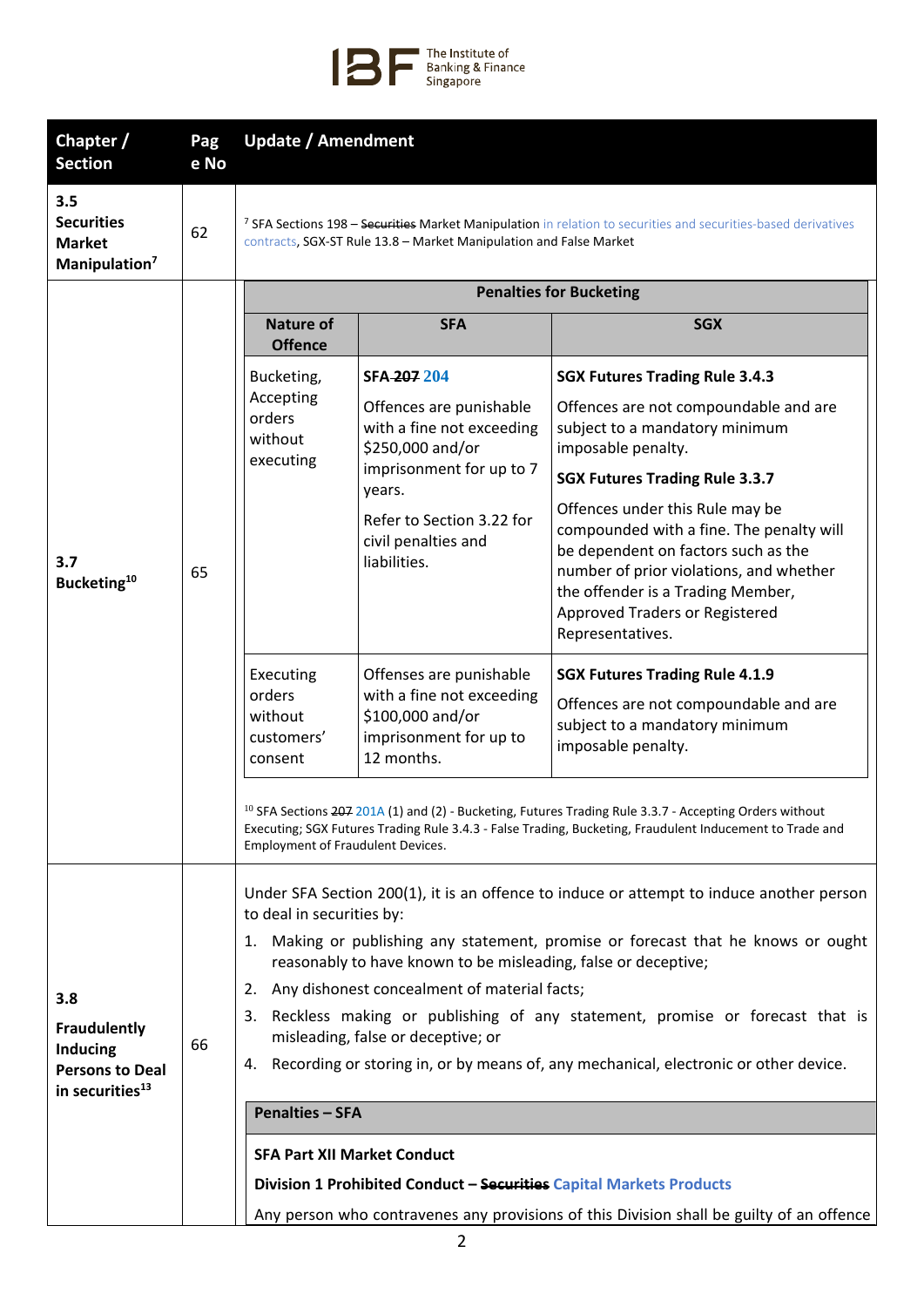

| Chapter /<br><b>Section</b>                                                                            | Pag<br>e No | <b>Update / Amendment</b>                                                                                                                                                                                                                                                  |                                                                                                                  |                                                                                                                                                                                                                                                          |  |
|--------------------------------------------------------------------------------------------------------|-------------|----------------------------------------------------------------------------------------------------------------------------------------------------------------------------------------------------------------------------------------------------------------------------|------------------------------------------------------------------------------------------------------------------|----------------------------------------------------------------------------------------------------------------------------------------------------------------------------------------------------------------------------------------------------------|--|
| 3.5<br><b>Securities</b><br><b>Market</b><br>Manipulation <sup>7</sup>                                 | 62          | <sup>7</sup> SFA Sections 198 - Securities Market Manipulation in relation to securities and securities-based derivatives<br>contracts, SGX-ST Rule 13.8 - Market Manipulation and False Market                                                                            |                                                                                                                  |                                                                                                                                                                                                                                                          |  |
|                                                                                                        | 65          | <b>Penalties for Bucketing</b>                                                                                                                                                                                                                                             |                                                                                                                  |                                                                                                                                                                                                                                                          |  |
|                                                                                                        |             | <b>Nature of</b><br><b>Offence</b>                                                                                                                                                                                                                                         | <b>SFA</b>                                                                                                       | <b>SGX</b>                                                                                                                                                                                                                                               |  |
|                                                                                                        |             | Bucketing,<br>Accepting<br>orders<br>without<br>executing                                                                                                                                                                                                                  | SFA-207 204                                                                                                      | <b>SGX Futures Trading Rule 3.4.3</b>                                                                                                                                                                                                                    |  |
| 3.7<br>Bucketing <sup>10</sup>                                                                         |             |                                                                                                                                                                                                                                                                            | Offences are punishable<br>with a fine not exceeding<br>\$250,000 and/or<br>imprisonment for up to 7<br>years.   | Offences are not compoundable and are<br>subject to a mandatory minimum<br>imposable penalty.                                                                                                                                                            |  |
|                                                                                                        |             |                                                                                                                                                                                                                                                                            |                                                                                                                  | <b>SGX Futures Trading Rule 3.3.7</b>                                                                                                                                                                                                                    |  |
|                                                                                                        |             |                                                                                                                                                                                                                                                                            | Refer to Section 3.22 for<br>civil penalties and<br>liabilities.                                                 | Offences under this Rule may be<br>compounded with a fine. The penalty will<br>be dependent on factors such as the<br>number of prior violations, and whether<br>the offender is a Trading Member,<br>Approved Traders or Registered<br>Representatives. |  |
|                                                                                                        |             | Executing<br>orders<br>without<br>customers'<br>consent                                                                                                                                                                                                                    | Offenses are punishable<br>with a fine not exceeding<br>\$100,000 and/or<br>imprisonment for up to<br>12 months. | <b>SGX Futures Trading Rule 4.1.9</b><br>Offences are not compoundable and are<br>subject to a mandatory minimum<br>imposable penalty.                                                                                                                   |  |
|                                                                                                        |             | <sup>10</sup> SFA Sections 207 201A (1) and (2) - Bucketing, Futures Trading Rule 3.3.7 - Accepting Orders without<br>Executing; SGX Futures Trading Rule 3.4.3 - False Trading, Bucketing, Fraudulent Inducement to Trade and<br><b>Employment of Fraudulent Devices.</b> |                                                                                                                  |                                                                                                                                                                                                                                                          |  |
|                                                                                                        |             | Under SFA Section 200(1), it is an offence to induce or attempt to induce another person                                                                                                                                                                                   |                                                                                                                  |                                                                                                                                                                                                                                                          |  |
| 3.8<br><b>Fraudulently</b><br><b>Inducing</b><br><b>Persons to Deal</b><br>in securities <sup>13</sup> | 66          | to deal in securities by:                                                                                                                                                                                                                                                  |                                                                                                                  |                                                                                                                                                                                                                                                          |  |
|                                                                                                        |             | Making or publishing any statement, promise or forecast that he knows or ought<br>1.<br>reasonably to have known to be misleading, false or deceptive;                                                                                                                     |                                                                                                                  |                                                                                                                                                                                                                                                          |  |
|                                                                                                        |             | Any dishonest concealment of material facts;<br>2.                                                                                                                                                                                                                         |                                                                                                                  |                                                                                                                                                                                                                                                          |  |
|                                                                                                        |             | Reckless making or publishing of any statement, promise or forecast that is<br>3.<br>misleading, false or deceptive; or                                                                                                                                                    |                                                                                                                  |                                                                                                                                                                                                                                                          |  |
|                                                                                                        |             | Recording or storing in, or by means of, any mechanical, electronic or other device.<br>4.                                                                                                                                                                                 |                                                                                                                  |                                                                                                                                                                                                                                                          |  |
|                                                                                                        |             | <b>Penalties - SFA</b>                                                                                                                                                                                                                                                     |                                                                                                                  |                                                                                                                                                                                                                                                          |  |
|                                                                                                        |             | <b>SFA Part XII Market Conduct</b>                                                                                                                                                                                                                                         |                                                                                                                  |                                                                                                                                                                                                                                                          |  |
|                                                                                                        |             | Division 1 Prohibited Conduct - Securities Capital Markets Products                                                                                                                                                                                                        |                                                                                                                  |                                                                                                                                                                                                                                                          |  |
|                                                                                                        |             | Any person who contravenes any provisions of this Division shall be guilty of an offence                                                                                                                                                                                   |                                                                                                                  |                                                                                                                                                                                                                                                          |  |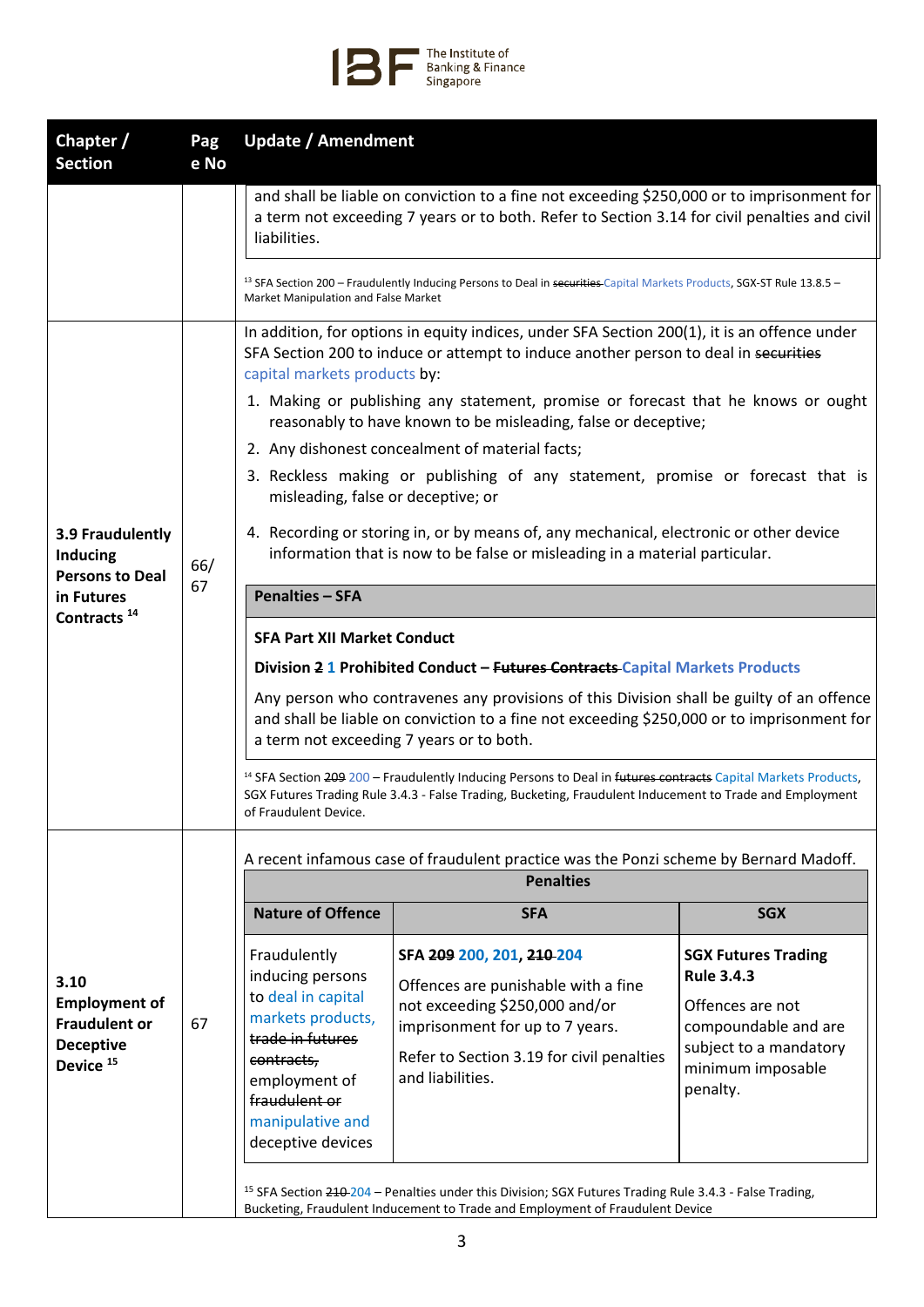

| Chapter /<br><b>Section</b>                                                                      | Pag<br>e No | <b>Update / Amendment</b>                                                                                                                                                                                                                                     |                                                                                                                                                                                                        |                                                                                                                                            |  |
|--------------------------------------------------------------------------------------------------|-------------|---------------------------------------------------------------------------------------------------------------------------------------------------------------------------------------------------------------------------------------------------------------|--------------------------------------------------------------------------------------------------------------------------------------------------------------------------------------------------------|--------------------------------------------------------------------------------------------------------------------------------------------|--|
|                                                                                                  |             | and shall be liable on conviction to a fine not exceeding \$250,000 or to imprisonment for<br>a term not exceeding 7 years or to both. Refer to Section 3.14 for civil penalties and civil<br>liabilities.                                                    |                                                                                                                                                                                                        |                                                                                                                                            |  |
|                                                                                                  |             | Market Manipulation and False Market                                                                                                                                                                                                                          | <sup>13</sup> SFA Section 200 - Fraudulently Inducing Persons to Deal in securities Capital Markets Products, SGX-ST Rule 13.8.5 -                                                                     |                                                                                                                                            |  |
|                                                                                                  | 66/         | In addition, for options in equity indices, under SFA Section 200(1), it is an offence under<br>SFA Section 200 to induce or attempt to induce another person to deal in securities<br>capital markets products by:                                           |                                                                                                                                                                                                        |                                                                                                                                            |  |
|                                                                                                  |             | 1. Making or publishing any statement, promise or forecast that he knows or ought<br>reasonably to have known to be misleading, false or deceptive;                                                                                                           |                                                                                                                                                                                                        |                                                                                                                                            |  |
|                                                                                                  |             | 2. Any dishonest concealment of material facts;                                                                                                                                                                                                               |                                                                                                                                                                                                        |                                                                                                                                            |  |
| 3.9 Fraudulently<br><b>Inducing</b><br><b>Persons to Deal</b>                                    |             | 3. Reckless making or publishing of any statement, promise or forecast that is<br>misleading, false or deceptive; or                                                                                                                                          |                                                                                                                                                                                                        |                                                                                                                                            |  |
|                                                                                                  |             | 4. Recording or storing in, or by means of, any mechanical, electronic or other device<br>information that is now to be false or misleading in a material particular.                                                                                         |                                                                                                                                                                                                        |                                                                                                                                            |  |
| in Futures                                                                                       | 67          | <b>Penalties - SFA</b>                                                                                                                                                                                                                                        |                                                                                                                                                                                                        |                                                                                                                                            |  |
| Contracts <sup>14</sup>                                                                          |             |                                                                                                                                                                                                                                                               |                                                                                                                                                                                                        |                                                                                                                                            |  |
|                                                                                                  |             | <b>SFA Part XII Market Conduct</b>                                                                                                                                                                                                                            |                                                                                                                                                                                                        |                                                                                                                                            |  |
|                                                                                                  |             | Division 2 1 Prohibited Conduct - Futures Contracts-Capital Markets Products                                                                                                                                                                                  |                                                                                                                                                                                                        |                                                                                                                                            |  |
|                                                                                                  |             | Any person who contravenes any provisions of this Division shall be guilty of an offence<br>and shall be liable on conviction to a fine not exceeding \$250,000 or to imprisonment for<br>a term not exceeding 7 years or to both.                            |                                                                                                                                                                                                        |                                                                                                                                            |  |
|                                                                                                  |             | <sup>14</sup> SFA Section 209 200 - Fraudulently Inducing Persons to Deal in futures contracts Capital Markets Products,<br>SGX Futures Trading Rule 3.4.3 - False Trading, Bucketing, Fraudulent Inducement to Trade and Employment<br>of Fraudulent Device. |                                                                                                                                                                                                        |                                                                                                                                            |  |
|                                                                                                  |             | A recent infamous case of fraudulent practice was the Ponzi scheme by Bernard Madoff.                                                                                                                                                                         |                                                                                                                                                                                                        |                                                                                                                                            |  |
| 3.10<br><b>Employment of</b><br><b>Fraudulent or</b><br><b>Deceptive</b><br>Device <sup>15</sup> | 67          | <b>Penalties</b>                                                                                                                                                                                                                                              |                                                                                                                                                                                                        |                                                                                                                                            |  |
|                                                                                                  |             | <b>Nature of Offence</b>                                                                                                                                                                                                                                      | <b>SFA</b>                                                                                                                                                                                             | <b>SGX</b>                                                                                                                                 |  |
|                                                                                                  |             | Fraudulently<br>inducing persons<br>to deal in capital<br>markets products,<br>trade in futures<br>contracts,<br>employment of                                                                                                                                | SFA 209 200, 201, 210 204<br>Offences are punishable with a fine<br>not exceeding \$250,000 and/or<br>imprisonment for up to 7 years.<br>Refer to Section 3.19 for civil penalties<br>and liabilities. | <b>SGX Futures Trading</b><br><b>Rule 3.4.3</b><br>Offences are not<br>compoundable and are<br>subject to a mandatory<br>minimum imposable |  |
|                                                                                                  |             | fraudulent or<br>manipulative and<br>deceptive devices                                                                                                                                                                                                        |                                                                                                                                                                                                        | penalty.                                                                                                                                   |  |
|                                                                                                  |             | <sup>15</sup> SFA Section 210-204 - Penalties under this Division; SGX Futures Trading Rule 3.4.3 - False Trading,<br>Bucketing, Fraudulent Inducement to Trade and Employment of Fraudulent Device                                                           |                                                                                                                                                                                                        |                                                                                                                                            |  |